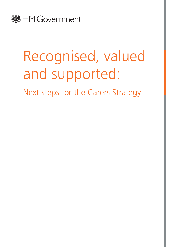

# Recognised, valued and supported:

Next steps for the Carers Strategy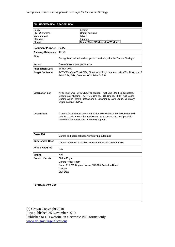| DH INFORMATION READER BOX  |                                                                                                                                                                                                                                      |  |
|----------------------------|--------------------------------------------------------------------------------------------------------------------------------------------------------------------------------------------------------------------------------------|--|
| Policy                     | <b>Estates</b>                                                                                                                                                                                                                       |  |
| HR / Workforce             | Commissioning                                                                                                                                                                                                                        |  |
| Management                 | IM & T                                                                                                                                                                                                                               |  |
| Planning /                 | Finance                                                                                                                                                                                                                              |  |
| Clinical                   | Social Care / Partnership Working                                                                                                                                                                                                    |  |
| <b>Document Purpose</b>    | Policy                                                                                                                                                                                                                               |  |
| <b>Gateway Reference</b>   | 15179                                                                                                                                                                                                                                |  |
| <b>Title</b>               | Recognised, valued and supported: next steps for the Carers Strategy                                                                                                                                                                 |  |
| Author                     | Cross-Government publication                                                                                                                                                                                                         |  |
| <b>Publication Date</b>    | 25 Nov 2010                                                                                                                                                                                                                          |  |
| <b>Target Audience</b>     | PCT CEs, Care Trust CEs, Directors of PH, Local Authority CEs, Directors of<br>Adult SSs, GPs, Directors of Children's SSs                                                                                                           |  |
| <b>Circulation List</b>    | NHS Trust CEs, SHA CEs, Foundation Trust CEs, Medical Directors,<br>Directors of Nursing, PCT PEC Chairs, PCT Chairs, NHS Trust Board<br>Chairs, Allied Health Professionals, Emergency Care Leads, Voluntary<br>Organisations/NDPBs |  |
| <b>Description</b>         | A cross-Government document which sets out how the Government will<br>prioritise actions over the next four years to ensure the best possible<br>outcomes for carers and those they support.                                         |  |
| Cross Ref                  | Carers and personalisation: improving outcomes                                                                                                                                                                                       |  |
| <b>Superseded Docs</b>     | Carers at the heart of 21st century families and communities                                                                                                                                                                         |  |
| <b>Action Required</b>     | N/A                                                                                                                                                                                                                                  |  |
| <b>Timing</b>              | N/A                                                                                                                                                                                                                                  |  |
| <b>Contact Details</b>     | Elaine Edgar<br>Carers Policy Team<br>Room 116, Wellington House, 133-155 Waterloo Road<br>London<br>SE18UG                                                                                                                          |  |
| <b>For Recipient's Use</b> |                                                                                                                                                                                                                                      |  |

(c) Crown Copyright 2010 First published 25 November 2010 Published to DH website, in electronic PDF format only [www.dh.gov.uk/publications](http://www.dh.gov.uk/publications)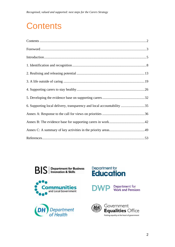# **Contents**

| 6. Supporting local delivery, transparency and local accountability 35 |  |
|------------------------------------------------------------------------|--|
|                                                                        |  |
|                                                                        |  |
|                                                                        |  |
|                                                                        |  |









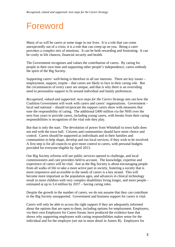### Foreword

Many of us will be carers at some stage in our lives. It is a role that can come unexpectedly out of a crisis; it is a role that can creep up on you. Being a carer provokes a complex mix of emotions. It can be both rewarding and frustrating. It can be costly in life chances, financial security and health.

The Government recognises and values the contribution of carers. By caring for people in their own time and supporting other people's independence, carers embody the spirit of the Big Society.

Supporting carers' well-being is therefore in all our interests. There are key issues – employment, support, respite – that carers are likely to face in their caring role. But the circumstances of every carer are unique, and that is why there is an overriding need to personalise support to fit around individual and family preferences.

*Recognised, valued and supported: next steps for the Carers Strategy* sets out how the Coalition Government will work with carers and carers' organisations. Government – local and national – should reciprocate the support carers show with measures that ease the responsibility of caring. The additional £400 million via the NHS over the next four years to provide carers, including young carers, with breaks from their caring responsibilities is recognition of the vital role they play.

But that is only the start. The devolution of power from Whitehall to town halls does not end with the town hall. Citizens and communities should have more choice and control. Carers should be supported as individuals and in their families and communities to help shape, develop and run local services, if they wish to be involved. A first step is for all councils to give more control to carers, with personal budgets provided for everyone eligible by April 2013.

Our Big Society reforms will see public services opened to challenge, and local commissioners and care providers held to account. The knowledge, expertise and experience of carers will be vital. Just as the Big Society is about encouraging people from all walks of life to take a more active part in society, fostering a society that is more responsive and accessible to the needs of carers is a key strand. This will become more important as the population ages, and advances in clinical technology result in more children with very complex disabilities living longer, and more people – estimated at up to 3.4 million by 2037 – having caring roles.

Despite the growth in the number of carers, we do not assume that they can contribute to the Big Society unsupported. Government and business support for carers is vital.

Carers will only be able to access the right support if they are adequately informed about the options that are open to them, including options for employment. Employers, via their own Employers for Carers forum, have produced the evidence base that shows why supporting employees with caring responsibilities makes sense for the individual and for the employer (set out in more detail in Annex B). Employers for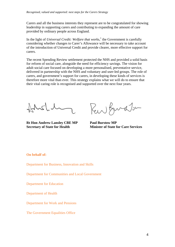Carers and all the business interests they represent are to be congratulated for showing leadership in supporting carers and contributing to expanding the amount of care provided by ordinary people across England.

In the light of *Universal Credit: Welfare that works*,<sup>1</sup> the Government is carefully considering whether changes to Carer's Allowance will be necessary to take account of the introduction of Universal Credit and provide clearer, more effective support for carers.

The recent Spending Review settlement protected the NHS and provided a solid basis for reform of social care, alongside the need for efficiency savings. The vision for adult social care focused on developing a more personalised, preventative service, delivered in partnership with the NHS and voluntary and user-led groups. The role of carers, and government's support for carers, in developing these kinds of services is therefore more vital than ever. This strategy explains what we will do to ensure that their vital caring role is recognised and supported over the next four years.

**Rt Hon Andrew Lansley CBE MP Secretary of State for Health** 

Rew Buraton

**Paul Burstow MP Minister of State for Care Services** 

### **On behalf of:**

Department for Business, Innovation and Skills

Department for Communities and Local Government

Department for Education

Department of Health

Department for Work and Pensions

The Government Equalities Office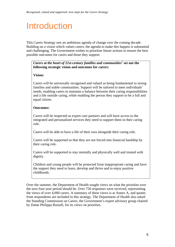# Introduction

This Carers Strategy sets an ambitious agenda of change over the coming decade. Building on a vision which values carers, the agenda to make this happen is substantial and challenging. The Government wishes to prioritise future actions to ensure the best possible outcomes for carers and those they support.

### *Carers at the heart of 21st-century families and communities***<sup>2</sup> set out the following strategic vision and outcomes for carers:**

### **Vision:**

Carers will be universally recognised and valued as being fundamental to strong families and stable communities. Support will be tailored to meet individuals' needs, enabling carers to maintain a balance between their caring responsibilities and a life outside caring, while enabling the person they support to be a full and equal citizen.

### **Outcomes:**

Carers will be respected as expert care partners and will have access to the integrated and personalised services they need to support them in their caring role.

Carers will be able to have a life of their own alongside their caring role.

Carers will be supported so that they are not forced into financial hardship by their caring role.

Carers will be supported to stay mentally and physically well and treated with dignity.

Children and young people will be protected from inappropriate caring and have the support they need to learn, develop and thrive and to enjoy positive childhoods.

Over the summer, the Department of Health sought views on what the priorities over the next four-year period should be. Over 750 responses were received, representing the views of over 4,000 carers. A summary of these views is at Annex A, and quotes from respondents are included in this strategy. The Department of Health also asked the Standing Commission on Carers, the Government's expert advisory group chaired by Dame Philippa Russell, for its views on priorities.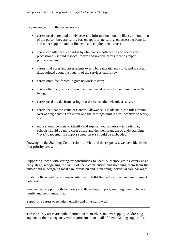Key messages from the responses are:

- $\bullet$  carers need better and timely access to information on the illness or condition of the person they are caring for; on appropriate caring; on accessing benefits and other support; and on financial and employment issues;
- carers can often feel excluded by clinicians both health and social care professionals should respect, inform and involve carers more as expert partners in care;
- carers find accessing assessments overly bureaucratic and slow, and are often disappointed about the paucity of the services that follow;
- carers often feel forced to give up work to care;
- carers often neglect their own health and need advice to maintain their wellbeing;
- carers need breaks from caring in order to sustain their role as a carer;
- carers feel that the value of Carer's Allowance is inadequate, the rules around overlapping benefits are unfair and the earnings limit is a disincentive to work; and
- more should be done to identify and support young carers  $-$  in particular, schools should be more carer aware and the memorandum of understanding *Working together to support young carers* should be embedded.<sup>3</sup>

Drawing on the Standing Commission's advice and the responses, we have identified four priority areas:

Supporting those with caring responsibilities to identify themselves as carers at an early stage, recognising the value of their contribution and involving them from the outset both in designing local care provision and in planning individual care packages.

Enabling those with caring responsibilities to fulfil their educational and employment potential.

Personalised support both for carers and those they support, enabling them to have a family and community life.

Supporting carers to remain mentally and physically well.

These priority areas are both important in themselves and overlapping. Addressing any one of them adequately will require attention to all of them. Getting support for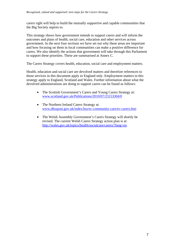carers right will help to build the mutually supportive and capable communities that the Big Society aspires to.

This strategy shows how government intends to support carers and will inform the outcomes and plans of health, social care, education and other services across government. In the next four sections we have set out why these areas are important and how focusing on them in local communities can make a positive difference for carers. We also identify the actions that government will take through this Parliament to support these priorities. These are summarised at Annex C.

The Carers Strategy covers health, education, social care and employment matters.

Health, education and social care are devolved matters and therefore references to those services in this document apply to England only. Employment matters in this strategy apply to England, Scotland and Wales. Further information about what the devolved administrations are doing to support carers can be found as follows:

- The Scottish Government's Carers and Young Carers Strategy at: [www.scotland.gov.uk/Publications/2010/07/23153304/0](http://www.scotland.gov.uk/Publications/2010/07/23153304/0)
- The Northern Ireland Carers Strategy at: [www.dhsspsni.gov.uk/index/hss/ec-community-care/ec-carers.htm](http://www.dhsspsni.gov.uk/index/hss/ec-community-care/ec-carers.htm)
- The Welsh Assembly Government's Carers Strategy will shortly be revised. The current Welsh Carers Strategy action plan is at: <http://wales.gov.uk/topics/health/socialcare/carers/?lang=en>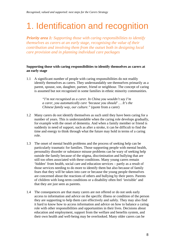# 1. Identification and recognition

*Priority area 1: Supporting those with caring responsibilities to identify themselves as carers at an early stage, recognising the value of their contribution and involving them from the outset both in designing local care provision and in planning individual care packages* 

### **Supporting those with caring responsibilities to identify themselves as carers at an early stage**

1.1 A significant number of people with caring responsibilities do not readily identify themselves as carers. They understandably see themselves primarily as a parent, spouse, son, daughter, partner, friend or neighbour. The concept of caring is assumed but not recognised in some families in ethnic minority communities.

> *"I'm not recognised as a carer. In China you wouldn't say I'm a carer, you automatically care 'because you should' … It's the Chinese family way, our culture."* (quote from a carer)

- 1.2 Many carers do not identify themselves as such until they have been caring for a number of years. This is understandable when the caring role develops gradually, for example with the onset of dementia. And when a family member or friend is suddenly in need of support, such as after a stroke, it can be difficult to find the time and energy to think through what the future may hold in terms of a caring role.
- 1.3 The onset of mental health problems and the process of seeking help can be particularly traumatic for families. Those supporting people with mental health, personality disorder or substance misuse problems can be wary of seeking help outside the family because of the stigma, discrimination and bullying that are still too often associated with these conditions. Many young carers remain 'hidden' from health, social care and education services – partly as a result of those services needing to do more to identify them but also because of family fears that they will be taken into care or because the young people themselves are concerned about the reactions of others and bullying by their peers. Parents of children with long-term conditions or a disability often feel 'invisible' and that they are just seen as parents.
- 1.4 The consequences are that many carers are not offered or do not seek early access to information and advice on the specific illness or condition of the person they are supporting to help them care effectively and safely. They may also find it hard to know how to access information and advice on how to balance a caring role with other responsibilities and opportunities in their lives. Decisions about education and employment, support from the welfare and benefits system, and their own health and well-being may be overlooked. Many older carers can be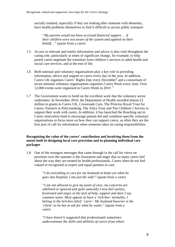socially isolated, especially if they are looking after someone with dementia, have health problems themselves or find it difficult to access public transport.

*"My parents would not have accessed financial support … if their children were not aware of the system and applied on their behalf…"* (quote from a carer)

- 1.5 Access to relevant and timely information and advice is also vital throughout the caring role, particularly at times of significant change, for example, to help parent carers negotiate the transition from children's services to adult health and social care services, and at the end of life.
- 1.6 Both national and voluntary organisations play a key role in providing information, advice and support to carers every day of the year. In addition, Carers UK organises Carers' Rights Day every December<sup>4</sup> and a consortium of seven national voluntary organisations organises Carers Week every June. Over 12,000 events were organised in Carers Week in 2010 .<sup>5</sup>
- 1.7 The Government wants to build on the excellent work that the voluntary sector undertakes. In November 2010, the Department of Health awarded almost £2 million in grants to Carers UK, Crossroads Care, The Princess Royal Trust for Carers, Partners in Policymaking, The Afiya Trust and The Children's Society to support their work with carers. In addition, it has launched the Reaching out to Carers innovation fund to encourage patient-led and condition-specific voluntary organisations to focus more on how they can support carers, as often they are the first port of call for information when someone takes on caring responsibilities.

### **Recognising the value of the carers' contribution and involving them from the outset both in designing local care provision and in planning individual care packages**

1.8 One of the strongest messages that came through in the call for views on priorities over the summer is the frustration and anger that so many carers feel about the way they are treated by health professionals. Carers often do not feel valued or recognised as expert and equal partners in care.

> *"I do everything to care for my husband at home yet when he goes into hospital, I am just the wife!"* (quote from a carer)

*"I am not allowed to give my point of view, my concerns are sidelined or ignored and quite naturally I now feel useless, frustrated and angry at the lack of help, support and dare I say common sense. Most appear to have a 'tick-box' mentality. I belong in the tick-box titled: 'carer'. My husband however is the 'client' so he has to ask for what he wants."* (quote from a carer)

*"I have heard it suggested that professionals sometimes underestimate the skills and abilities of carers from ethnic*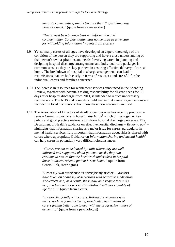*minority communities, simply because their English language skills are weak."* (quote from a care worker)

*"There must be a balance between information and confidentiality. Confidentiality must not be used as an excuse for withholding information."* (quote from a carer)

- 1.9 Yet so many carers of all ages have developed an expert knowledge of the condition of the person they are supporting and have a close understanding of that person's own aspirations and needs. Involving carers in planning and designing hospital discharge arrangements and individual care packages is common sense as they are key partners in ensuring effective delivery of care at home. The breakdown of hospital discharge arrangements can lead to readmissions that are both costly in terms of resources and stressful for the individual, carers and families concerned.
- 1.10 The increase in resources for reablement services announced in the Spending Review, together with hospitals taking responsibility for all care needs for 30 days after hospital discharge from 2011, is intended to reduce unnecessary readmissions. The NHS and councils should ensure that carers' organisations are included in local discussions about how these new resources are used.
- 1.11 The Association of Directors of Adult Social Services has recently produced a review *Carers as partners in hospital discharge*<sup>6</sup> which brings together key policy and good practice materials to inform hospital discharge processes. The Department of Health's guidance on effective hospital discharge – *Ready to go?*7 – highlights that information sharing is a major issue for carers, particularly in mental health services. It is important that information about risks is shared with carers where appropriate. Guidance on *Information sharing and mental health*<sup>8</sup> can help carers in potentially very difficult circumstances.

*"Carers are not to be feared by staff; where they are well informed and supported about patients' needs, they can continue to ensure that the hard work undertaken in hospital doesn't unravel when a patient is sent home."* (quote from Carers Link, Accrington)

*"From my own experience as carer for my mother … doctors have taken on board my observations with regard to medication side-effects and, as a result, she is now on a regime that suits her, and her condition is vastly stabilised with more quality of life for all.*" (quote from a carer)

*"By working jointly with carers, linking our expertise with theirs, we have found better reported outcomes in terms of carers feeling better able to deal with the progressive nature of dementia."* (quote from a psychologist)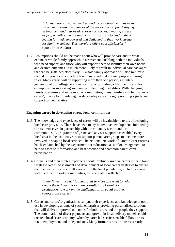*"Having carers involved in drug and alcohol treatment has been shown to increase the chances of the person they support staying in treatment and improved recovery outcomes. Treating carers as people with expertise and skills is also likely to lead to them feeling fulfilled, empowered and dedicated in their work caring for family members. This therefore offers cost efficiencies*.*"*  (quote from Adfam)

1.12 Assumptions should not be made about who will provide care and to what extent. A whole family approach in assessment, enabling both the individuals who need support and those who will support them to identify their own needs and desired outcomes, is much more likely to result in individual care packages that can be sustained effectively. A whole family approach will also minimise the risk of young carers feeling forced into undertaking inappropriate caring roles. Many carers will be supporting more than one person, i.e. intergenerational or multi-generational caring, or providing a lifetime of care, for example when supporting someone with learning disabilities. With changing family structures and more mobile communities, many families will be 'distance carers', unable to provide regular day-to-day care although providing significant support to their relative.

### **Engaging carers in developing strong local communities**

- 1.13 The knowledge and experience of carers will be invaluable in terms of designing local care provision. There have been many innovative developments initiated by carers themselves in partnership with the voluntary sector and local communities. A programme of grants and adviser support has enabled every local area in the last two years to support parent carer groups to become more involved in shaping local services The National Network of Parent Carer Forums has been launched by the Department for Education, as a pilot arrangement, to help to cascade information and best practice and champion parent carer participation.
- 1.14 Councils and their strategic partners should routinely involve carers in their Joint Strategic Needs Assessment and development of local carers strategies to ensure that the needs of carers of all ages within the local population, including carers within ethnic minority communities, are adequately reflected.

*"I don't want 'access' to integrated services … I want to help create them. I want more than consultation. I want coproduction, to work on the challenges as an equal partner."*  (quote from a carer)

1.15 Carers and carers' organisations can put their experience and knowledge to good use in developing a range of social enterprises providing personalised solutions that will deliver improved outcomes for both carers and the people they support. The combination of direct payments and growth in local delivery models could create a local 'care economy' whereby carer-led services enable fellow carers to retain employment and independence. Many former carers or those currently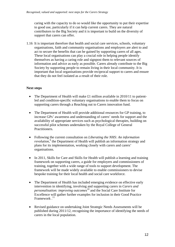caring with the capacity to do so would like the opportunity to put their expertise to good use, particularly if it can help current carers. They are natural contributors to the Big Society and it is important to build on the diversity of support that carers can offer.

1.16 It is important therefore that health and social care services, schools, voluntary organisations, faith and community organisations and employers are alert to and act to secure the benefits that can be gained by supporting carers of all ages. These local organisations can play a crucial role in helping people identify themselves as having a caring role and signpost them to relevant sources of information and advice as early as possible. Carers already contribute to the Big Society by supporting people to remain living in their local community. It is important that local organisations provide reciprocal support to carers and ensure that they do not feel isolated as a result of their role.

### **Next steps**

- The Department of Health will make  $\pounds1$  million available in 2010/11 to patientled and condition-specific voluntary organisations to enable them to focus on supporting carers through a Reaching out to Carers innovation fund.
- The Department of Health will provide additional resources for GP training, to increase GPs' awareness and understanding of carers' needs for support and the availability of appropriate services such as psychological therapies, building on successful pilot schemes undertaken by the Royal College of General Practitioners.
- • Following the current consultation on *Liberating the NHS: An information*  revolution,<sup>9</sup> the Department of Health will publish an information strategy and plans for its implementation, working closely with carers and carers' organisations.
- In 2011, Skills for Care and Skills for Health will publish a learning and training framework on supporting carers, a guide for employers and commissioners of training, together with a wide range of tools to support development. The framework will be made widely available to enable commissioners to devise bespoke training for their local health and social care workforce.
- The Department of Health has included emerging evidence on effective early intervention in identifying, involving and supporting carers in *Carers and personalisation: improving outcomes*<sup>10</sup> and the Social Care Institute for Excellence will gather further examples for inclusion in their Good Practice Framework .<sup>11</sup>
- Revised guidance on undertaking Joint Strategic Needs Assessments will be published during 2011/12, recognising the importance of identifying the needs of carers in the local population.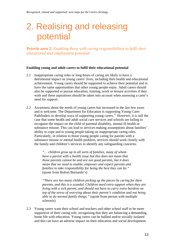# 2. Realising and releasing potential

*Priority area 2: Enabling those with caring responsibilities to fulfil their educational and employment potential* 

#### **Enabling young and adult carers to fulfil their educational potential**

- 2.1 Inappropriate caring roles or long hours of caring are likely to have a detrimental impact on young carers' lives, including their health and educational achievement. Young carers should be supported to achieve their potential and to have the same opportunities that other young people enjoy. Adult carers should also be supported to pursue education, training, work or leisure activities if they wish and these aspirations should be taken into account when assessing a carer's need for support.
- 2.2 Awareness about the needs of young carers has increased in the last few years and is welcome. The Department for Education is supporting Young Carer Pathfinders to develop ways of supporting young carers.<sup>12</sup> However, it is still the case that some health and adult social care services and schools are failing to recognise the impact on the child of parental disability, mental ill health or substance misuse. This can lead to services making assumptions about families' ability to cope and to young people taking on inappropriate caring roles. Particularly, in relation to those young people caring for parents with a substance misuse or mental health problem, services should work closely with the family and children's services to identify any safeguarding concerns.

*"… children grow up in all sorts of families, many of whom have a parent with a health issue but this does not mean that those parents cannot be and are not good parents, but it does mean that we need to enable, empower and expect parents and families to take responsibility for being the best they can be."*  (quote from Bolton Barnardo's)

*"There are too many children picking up the pieces by caring for their parents, and this is a scandal. Children need extra support when they are living with a sick parent, and should not have to carry extra burdens on top of the stress of worrying about their parent's condition and not being able to do normal family things."* (quote from person with multiple sclerosis)

2.3 Young carers want their school and teachers and other school staff to be more supportive of their caring role, recognising that they are balancing a demanding home life with education. Young carers can be bullied and/or socially isolated and this can have an adverse impact on their education and social development.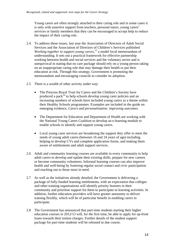Young carers are often strongly attached to their caring role and in some cases it is only with assertive support from teachers, personal tutors, young carers' services or family members that they can be encouraged to accept help to reduce the impact of their caring role.

- 2.4 To address these issues, last year the Association of Directors of Adult Social Services and the Association of Directors of Children's Services published *Working together to support young carers*,<sup>13</sup> a model local memorandum of understanding. It sets out a practical framework for effective partnership working between health and social services and the voluntary sector and is unequivocal in stating that no care package should rely on a young person taking on an inappropriate caring role that may damage their health or put their education at risk. Through this strategy, Government is promoting the memorandum and encouraging councils to consider its adoption.
- 2.5 There is a wealth of other activity under way:
	- The Princess Royal Trust for Carers and the Children's Society have produced a pack<sup>14</sup> to help schools develop young carer policies and an increasing numbers of schools have included young carers as a theme within their Healthy Schools programmes. Examples are included in the guide on emerging evidence, *Carers and personalisation: improving outcomes*.
	- The Department for Education and Department of Health are working with the National Young Carers Coalition to develop an e-learning module to enable schools to identify and support young carers.
	- Local young carer services are broadening the support they offer to meet the needs of young adult carers (between 16 and 24 years of age) including helping to develop CVs and complete application forms, and making them aware of entitlements and adult support services.
- 2.6 Adult and community learning courses are available in every community to help adult carers to develop and update their existing skills, prepare for new careers or become community volunteers. Informal learning courses can also improve health and well-being by fostering regular social contact and civic participation and reaching out to those most in need.
- 2.7 As well as the initiatives already detailed, the Government is delivering a package of fully-funded learning entitlements, with an expectation that colleges and other training organisations will identify priority learners in their community and prioritise support for them to participate in learning activities. In addition, further education providers will have greater autonomy to deliver training flexibly, which will be of particular benefit in enabling carers to participate.
- 2.8 The Government has announced that part-time students starting their higher education courses in 2012/13 will, for the first time, be able to apply for up-front loans towards their tuition charges. Further details of the student support package for part-time students will be released in due course.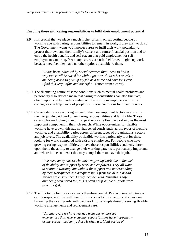#### **Enabling those with caring responsibilities to fulfil their employment potential**

2.9 It is crucial that we place a much higher priority on supporting people of working age with caring responsibilities to remain in work, if they wish to do so. The Government wants to empower carers to fulfil their work potential, to protect their own and their family's current and future financial position and to enjoy the health benefits and self-esteem that paid employment or selfemployment can bring. Yet many carers currently feel forced to give up work because they feel they have no other options available to them.

> *"It has been indicated by Social Services that I need to find a way Peter will be cared for while I go to work. In other words, I am being asked to give up my job as a nurse and care for Peter. I find this very unfair and not right."* (quote from a carer)

- 2.10 The fluctuating nature of some conditions such as mental health problems and personality disorder can mean that caring responsibilities can also fluctuate, often unpredictably. Understanding and flexibility in employers and work colleagues can help carers of people with these conditions to remain in work.
- 2.11 Carers cite flexible working as one of the most important factors in allowing them to juggle paid work, their caring responsibilities and family life. Those carers who are looking to return to paid work cite flexible working, as the most important component in their job search. While opportunities for flexible working have grown, this has not happened consistently across types of flexible working, and availability varies across different types of organisations, sectors and job levels. The availability of flexible work is particularly low for those looking for work, compared with existing employees. For people who have growing caring responsibilities, or have those responsibilities suddenly thrust upon them, the ability to change their working patterns is particularly important, and where it does not exist this may compel them to leave their job.

*"We meet many carers who have to give up work due to the lack of flexibility and support by work and employers. They all want to continue working, but without the support and understanding by their workplaces and adequate input from social and health services to ensure their family member with dementia is safe and being well cared for, this is often not possible."* (quote from psychologist)

2.12 The link to the first priority area is therefore crucial. Paid workers who take on caring responsibilities will benefit from access to information and advice on balancing their caring role with paid work, for example through seeking flexible working arrangements and replacement care.

> *"As employers we have learned from our employees' experiences that, where caring responsibilities have happened – or increased – suddenly, there is often a critical period of*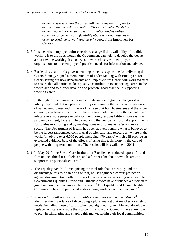*around 6 weeks where the carer will need time and support to deal with the immediate situation. This may involve flexibility around leave in order to access information and establish caring arrangements and flexibility about working patterns in order to continue to work and care."* (quote from Employers for Carers)

- 2.13 It is clear that employer culture needs to change if the availability of flexible working is to grow. Although the Government can help to develop the debate about flexible working, it also needs to work closely with employer organisations to meet employers' practical needs for information and advice.
- 2.14 Earlier this year the six government departments responsible for delivering the Carers Strategy signed a memorandum of understanding with Employers for Carers setting out how departments and Employers for Carers will work together to ensure that all parties make a positive contribution to supporting carers in the workplace and to further develop and promote good practice in supporting working carers.
- 2.15 In the light of the current economic climate and demographic changes it is vitally important that we place a priority on retaining the skills and experience of valued employees within the workforce so that both businesses and the wider economy can benefit from them. There is great potential for both telehealth and telecare to enable people to balance their caring responsibilities more easily with paid employment, for example by reducing the number of hospital appointments for routine monitoring and by making home environments safer and more secure. The Department of Health has been actively running what is believed to be the largest randomised control trial of telehealth and telecare anywhere in the world (involving over 6,000 people including 470 carers) which will provide an evaluated evidence base of the effects of using this technology in the care of people with long-term conditions. The results will be available in 2011.
- 2.16 In May 2010, the Social Care Institute for Excellence produced reports<sup>15 16</sup> and a film on the ethical use of telecare and a further film about how telecare can support more personalised care  $.17$
- 2.17 The Equality Act 2010, recognising the vital role that carers play and the disadvantage this role can bring with it, has strengthened carers' protection against discrimination both in the workplace and when accessing services. The Government Equalities Office and Citizens Advice have published a quick-start guide on how the new law can help carers.18 The Equality and Human Rights Commission has also published wide-ranging guidance on the new law  $1<sup>1</sup>$
- 2.18 *A vision for adult social care: Capable communities and active citizens*<sup>20</sup> identifies the importance of developing a plural market that matches a variety of needs, including those of carers who need high quality, reliable and affordable replacement care to enable them to continue to work. Councils have a key role to play in stimulating and shaping this market within their local communities.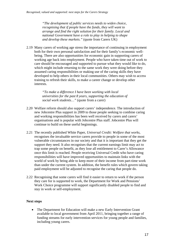*"The development of public services needs to widen choice, recognising that if people have the funds, they will want to arrange and find the right solution for their family. Local and national Government have a role to play in helping to shape and develop these markets."* (quote from Carers UK)

2.19 Many carers of working age stress the importance of continuing in employment both for their own personal satisfaction and for their family's economic wellbeing. There are also opportunities for economic gain in supporting carers of working age back into employment. People who have taken time out of work to care should be encouraged and supported to pursue what they would like to do, which might include returning to the same work they were doing before they assumed caring responsibilities or making use of the caring skills they have developed to help others in their local communities. Others may wish to access training to refresh their skills, to make a career change or develop other interests.

> *"To make a difference I have been working with local universities for the past 8 years, supporting the education of social work students…"* (quote from a carer)

- 2.20 Welfare reform should also support carers' independence. The introduction of new Jobcentre Plus support in 2009 to those people seeking to combine caring and working responsibilities has been well received by carers and carers' organisations and is popular with Jobcentre Plus staff. Jobcentre Plus will continue to build on these useful beginnings.
- 2.21 The recently published White Paper, *Universal Credit: Welfare that works*, recognises the invaluable service carers provide to people in some of the most vulnerable circumstances in our society and that it is important that they get the support they need. It also recognises that the current earnings limit may act to trap some people on benefit, as they lose all entitlement to Carer's Allowance once this limit is reached. People receiving Universal Credit who have caring responsibilities will have improved opportunities to maintain links with the world of work by being able to keep more of their income from part-time work than under the current system. In addition, the benefit rules which govern taking paid employment will be adjusted to recognise the caring that people do.
- 2.22 Recognising that some carers will find it easier to return to work if the person they care for is supported to work, the Department for Work and Pensions' Work Choice programme will support significantly disabled people to find and stay in work or self-employment.

### **Next steps**

The Department for Education will make a new Early Intervention Grant available to local government from April 2011, bringing together a range of funding streams for early intervention services for young people and families, including young carers.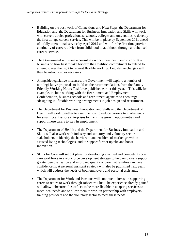- Building on the best work of Connexions and Next Steps, the Department for Education and the Department for Business, Innovation and Skills will work with careers advice professionals, schools, colleges and universities to develop the first all-age careers service. This will be in place by September 2011 ahead of a fully operational service by April 2012 and will for the first time provide continuity of careers advice from childhood to adulthood through a revitalised careers service.
- The Government will issue a consultation document next year to consult with business on how best to take forward the Coalition commitment to extend to all employees the right to request flexible working. Legislative changes will then be introduced as necessary.
- Alongside legislative measures, the Government will explore a number of non-legislative proposals to build on the recommendations from the Family Friendly Working Hours Taskforce published earlier this year.<sup>21</sup> This will, for example, include working with the Recruitment and Employment Confederation, business schools and recruitment agencies to encourage 'designing in' flexible working arrangements in job design and recruitment.
- The Department for Business, Innovation and Skills and the Department of Health will work together to examine how to reduce barriers to market entry for small local flexible enterprises to maximise growth opportunities and support more carers to stay in employment.
- The Department of Health and the Department for Business, Innovation and Skills will also work with industry and statutory and voluntary sector stakeholders to identify the barriers to and enablers of market growth in assisted living technologies, and to support further uptake and boost innovation.
- Skills for Care will set out plans for developing a skilled and competent social care workforce in a workforce development strategy to help employers support greater personalisation and improved quality of care that families can have confidence in. A personal assistant strategy will also be published next year, which will address the needs of both employers and personal assistants.
- The Department for Work and Pensions will continue to invest in supporting carers to return to work through Jobcentre Plus. The experience already gained will allow Jobcentre Plus offices to be more flexible in adapting services to meet local needs and to allow them to work in partnership with employers, training providers and the voluntary sector to meet these needs.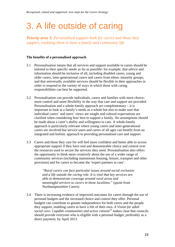## 3. A life outside of caring

*Priority area 3: Personalised support both for carers and those they support, enabling them to have a family and community life* 

### **The benefits of a personalised approach**

- 3.1 Personalisation means that all services and support available to carers should be tailored to their specific needs as far as possible: for example, that advice and information should be inclusive of all, including disabled carers, young and older carers, inter-generational carers and carers from ethnic minority groups, and that universally available services should be flexible in their approaches in order to respond to the variety of ways in which those with caring responsibilities can best be supported.
- 3.2 Personalisation can provide individuals, carers and families with more choice, more control and more flexibility in the way that care and support are provided. Personalisation and a whole-family approach are complementary – it is important to look at a family's needs as a whole but also to make sure that individual carers' and users' views are sought and cultural expectations are clarified when considering how best to support a family. No assumptions should be made about a carer's ability and willingness to care. A whole-family approach is particularly relevant where young carers and inter-generational carers are involved but service users and carers of all ages can benefit from an integrated and holistic approach to providing personalised care and support.
- 3.3 Carers and those they care for will feel more confident and better able to access appropriate support if they have real and demonstrable choice and control over the resources used to secure the services they need. Personalisation also offers the opportunity to think more creatively about the use of a wider range of community services (including mainstream housing, leisure, transport and other provision) and for carers to become the 'expert partners in care'.

*"Rural carers can face particular issues around social exclusion and a life outside the caring role. It is vital that key services are able to demonstrate coverage around rural areas and meaningful services to carers in those localities."* (quote from Northamptonshire Carers)

3.4 There is increasing evidence of improved outcomes for carers through the use of personal budgets and the increased choice and control they offer. Personal budgets can contribute to greater independence for both carers and the people they support, enabling carers to have a life of their own. *A Vision for adult social care: Capable communities and active citizens*<sup>22</sup> makes clear that councils should provide everyone who is eligible with a personal budget, preferably as a direct payment, by April 2013.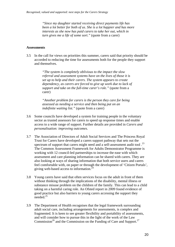*"Since my daughter started receiving direct payments life has been a lot better for both of us. She is a lot happier and has more interests as she now has paid carers to take her out, which in turn gives me a life of some sort*.*"* (quote from a carer)

### **Assessments**

3.5 In the call for views on priorities this summer, carers said that priority should be accorded to reducing the time for assessments both for the people they support and themselves.

> *"The system is completely oblivious to the impact the slow referral and assessment systems have on the lives of those it is set up to help and their carers. The system appears to create dependency, as carers are forced to give up work due to lack of support and take on the full-time carer's role."* (quote from a carer)

*"Another problem for carers is the person they care for being assessed as needing a service and then being put on an indefinite waiting list."* (quote from a carer)

- 3.6 Some councils have developed a system for training people in the voluntary sector as trusted assessors for carers to speed up response times and enable access to a wide range of support. Further details are provided in *Carers and personalisation: improving outcomes*.
- 3.7 The Association of Directors of Adult Social Services and The Princess Royal Trust for Carers have developed a carers support pathway that sets out the spectrum of support that carers might need and a self-assessment audit tool .<sup>23</sup> The Common Assessment Framework for Adults Demonstrator Programme is working with 12 council-led partnerships to increase the ease with which assessment and care planning information can be shared with carers. They are also looking at ways of sharing information that both service users and carers feel comfortable with, on paper or through the development of 'Citizen Portals', giving web-based access to information.<sup>24</sup>
- 3.8 Young carers have said that often services focus on the adult in front of them without thinking through the implications of the disability, mental illness or substance misuse problem on the children of the family. This can lead to a child taking on a harmful caring role. An Ofsted report in 2009 found evidence of good practice but also barriers to young carers accessing the support they needed.25
- 3.9 The Department of Health recognises that the legal framework surrounding adult social care, including arrangements for assessments, is complex and fragmented. It is keen to see greater flexibility and portability of assessments, and will consider how to pursue this in the light of the work of the Law Commission<sup>26</sup> and the Commission on the Funding of Care and Support.<sup>27</sup>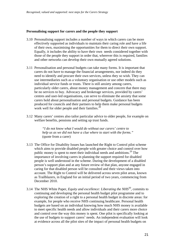#### **Personalising support for carers and the people they support**

- 3.10 Personalising support includes a number of ways in which carers can be more effectively supported as individuals to maintain their caring role and have a life of their own, maximising the opportunities for them to direct their own support. Equally, it includes the ability to have their own needs considered together with those of the people they support in order that, wherever this is required, families and other networks can develop their own mutually agreed solutions.
- 3.11 Personalisation and personal budgets can take many forms. It is important that carers do not have to manage the financial arrangements, nor indeed do they need to identify and procure their own services, unless they so wish. They can use intermediaries such as a voluntary organisation or use other models such as individual service funds or trusts. There is still anxiety among carers, particularly older carers, about money management and concern that there may be no services to buy. Advocacy and brokerage services, provided by carers' centres and user-led organisations, can serve to eliminate the anxiety that some carers hold about personalisation and personal budgets. Guidance has been produced for councils and their partners to help them make personal budgets work well for older people and their families.<sup>28</sup>
- 3.12 Many carers' centres also tailor particular advice to older people, for example on welfare benefits, pensions and setting up trust funds.

*"I do not know what I would do without our carers' centre to help us as we did not have a clue where to start with the forms."*  (quote from a carer)

- 3.13 The Office for Disability Issues has launched the Right to Control pilot scheme which aims to provide disabled people with greater choice and control over how public money is spent to meet their individual needs and ambitions.<sup>29</sup> The importance of involving carers in planning the support required for disabled people is well understood in the scheme. During the development of a disabled person's support plan and at any future review of that plan, anyone engaged in caring for that disabled person will be consulted and their views taken into account. The Right to Control will be delivered across seven pilot areas, known as Trailblazers, in England for an initial period of two years, commencing from December 2010.
- 3.14 The NHS White Paper, *Equity and excellence: Liberating the NHS<sup>30</sup>*, commits to continuing and developing the personal health budget pilot programme and to exploring the creation of a right to a personal health budget in discrete areas: for example, for people who receive NHS continuing healthcare. Personal health budgets are based on an individual knowing how much NHS money is available to meet specific health needs and allow individuals and their carers more choice and control over the way this money is spent. One pilot is specifically looking at the use of budgets to support carers' needs. An independent evaluation will look at evidence across all the pilot sites of the impact of personal health budgets on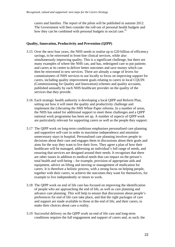carers and families. The report of the pilots will be published in autumn 2012. The Government will then consider the roll-out of personal health budgets and how they can be combined with personal budgets in social care.<sup>31</sup>

### **Quality, Innovation, Productivity and Prevention (QIPP)**

- 3.15 Over the next four years, the NHS needs to realise up to £20 billion of efficiency savings, to be reinvested in front-line clinical services, while also simultaneously improving quality. This is a significant challenge, but there are many examples of where the NHS can, and has, redesigned care to put patients and carers at its centre to deliver better outcomes and save money which can then be reinvested in new services. There are already a range of levers for commissioners of NHS services to use locally to focus on improving support for carers, including quality improvement goals relating to carers in local CQUIN (Commissioning for Quality and Innovation) schemes and quality accounts, published annually by each NHS healthcare provider on the quality of the services that they provide.
- 3.16 Each strategic health authority is developing a local QIPP and Reform Plan, setting out how it will meet the quality and productivity challenge and implement the *Liberating the NHS* White Paper reforms. In a number of areas, the NHS has asked for additional support to meet these challenges and a QIPP national work programme has been set up. A number of aspects of QIPP work are particularly relevant for supporting carers as well as the people they support.
- 3.17 The QIPP work on long-term conditions emphasises personalised care planning and supportive self-care in order to maximise independence and minimise unnecessary stays in hospital. Personalised care planning involves people in decisions about their care and engages them in discussions about their goals and aims for the way they want to live their lives. They agree a plan of how their healthcare will be managed, addressing an individual's full range of needs, and ensuring that services are designed around their needs. It recognises that there are other issues in addition to medical needs that can impact on the person's total health and well-being – for example, provision of appropriate aids and equipment, advice on lifting and moving or management of medication for carers. It is therefore a holistic process, with a strong focus on helping people, together with their carers, to achieve the outcomes they want for themselves, for example to live independently or return to work.
- 3.18 The QIPP work on end of life care has focused on improving the identification of people who are approaching the end of life, as well as care planning and advance care planning. This will help to ensure that discussions about people's preferences for end of life care take place, and that the right packages of care and support are made available to those at the end of life, and their carers, to make their choices about care a reality.
- 3.19 Successful delivery on the QIPP work on end of life care and long-term conditions requires the full engagement and support of carers and, as such, the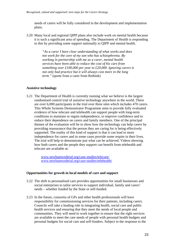needs of carers will be fully considered in the development and implementation plans.

3.20 Many local and regional QIPP plans also include work on mental health because it is such a significant area of spending. The Department of Health is responding to this by providing some support nationally to QIPP and mental health.

> *"As a carer I have clear understanding of what works and does not work for the care of my son who has schizophrenia. By working in partnership with me as a carer, mental health services have been able to reduce the cost of his care from something over £100,000 per year to £20,000. Ignoring carers is not only bad practice but it will always cost more in the long term."* (quote from a carer from Rethink)

### **Assistive technology**

3.21 The Department of Health is currently running what we believe is the largest randomised control trial of assistive technology anywhere in the world. There are over 6,000 participants in the trial over three sites which includes 470 carers. This Whole Systems Demonstrator Programme aims to provide fully evaluated evidence of how telecare and telehealth can support people with long-term conditions to maintain or regain independence, to improve confidence and to reduce their dependence on carers and family members. One of the principal themes of the evaluation will be to show how the technology can help carers by providing reassurance that the person they are caring for is being effectively supported. The reality of this kind of support is that it can lead to more independence for carers and in some cases provide some respite in their lives. The trial will help to demonstrate just what can be achieved. Videos showing how both carers and the people they support can benefit from telehealth and telecare are available at:

> [www.newhamwsdtrial.org/case-studies/telecare/](http://www.newhamwsdtrial.org/case-studies/telecare/)  [www.newhamwsdtrial.org/case-studies/telehealth/](http://www.newhamwsdtrial.org/case-studies/telehealth/)

### **Opportunities for growth in local models of care and support**

- 3.22 The shift to personalised care provides opportunities for small businesses and social enterprises to tailor services to support individual, family and carers' needs – whether funded by the State or self-funded.
- 3.23 In the future, consortia of GPs and other health professionals will have responsibility for commissioning services for their patients, including carers. Councils will take a leading role in integrating health, social care and public health services and ensuring that they meet the needs of local people and communities. They will need to work together to ensure that the right services are available to meet the care needs of people with personal health budgets and personal budgets for social care and self-funders. Subject to the response to the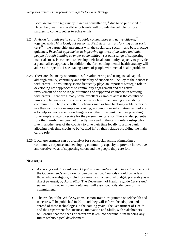*Local democratic legitimacy in health* consultation,<sup>32</sup> due to be published in December, health and well-being boards will provide the vehicle for local partners to come together to achieve this.

- 3.24 *A vision for adult social care: Capable communities and active citizens*, 33 together with *Think local, act personal: Next steps for transforming adult social*   $care<sup>34</sup>$  – the partnership agreement with the social care sector – and best practice guidance, *Practical approaches to improving the lives of disabled and older people through building stronger communities*35 set out a range of supporting materials to assist councils to develop their local community capacity to provide a personalised approach. In addition, the forthcoming mental health strategy will address the specific issues facing carers of people with mental health problems.
- 3.25 There are also many opportunities for volunteering and using social capital, although quality, continuity and reliability of support will be key to their success with carers. The voluntary sector frequently plays an important strategic role in developing new approaches to community engagement and the active involvement of a wide range of trained and supported volunteers in working with carers. There are already some excellent examples across the country of how complementary currencies schemes such as time banking are enabling communities to help each other. Schemes such as time banking enable carers to use their skills – for example in cooking, accounting or information technology – to help someone else in exchange for another time bank member providing, for example, a sitting service for the person they care for. There is also potential for other family members not directly involved in the caring relationship who live in another area of the country to give their time locally to a time bank, allowing their time credits to be 'cashed in' by their relative providing the main caring role.
- 3.26 Local government can be a catalyst for such social action, stimulating a community response and developing community capacity to provide innovative and creative ways of supporting carers and the people they care for.

### **Next steps**

- • *A vision for adult social care: Capable communities and active citizens* sets out the Government's ambition for personalisation. Councils should provide all those who are eligible, including carers, with a personal budget, preferably as a direct payment, by April 2013. The Department of Health's guide *Carers and personalisation: improving outcomes* will assist councils' delivery of this commitment.
- The results of the Whole Systems Demonstrator Programme on telehealth and telecare will be published in 2011 and they will inform the adoption and spread of these technologies in the coming years. The Department of Health and the Department for Business, Innovation and Skills, with stakeholders, will ensure that the needs of carers are taken into account in influencing any future technological development.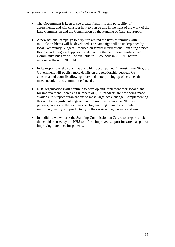- The Government is keen to see greater flexibility and portability of assessments, and will consider how to pursue this in the light of the work of the Law Commission and the Commission on the Funding of Care and Support.
- A new national campaign to help turn around the lives of families with multiple problems will be developed. The campaign will be underpinned by local Community Budgets – focused on family interventions – enabling a more flexible and integrated approach to delivering the help these families need. Community Budgets will be available in 16 councils in 2011/12 before national roll-out in 2013/14.
- In its response to the consultations which accompanied *Liberating the NHS*, the Government will publish more details on the relationship between GP consortia and councils allowing more and better joining up of services that meets people's and communities' needs.
- NHS organisations will continue to develop and implement their local plans for improvement. Increasing numbers of QIPP products are now being made available to support organisations to make large-scale change. Complementing this will be a significant engagement programme to mobilise NHS staff, patients, carers and the voluntary sector, enabling them to contribute to improving quality and productivity in the services they provide and use.
- In addition, we will ask the Standing Commission on Carers to prepare advice that could be used by the NHS to inform improved support for carers as part of improving outcomes for patients.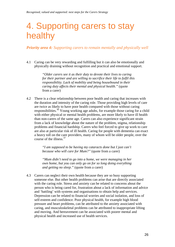### 4. Supporting carers to stay healthy

*Priority area 4: Supporting carers to remain mentally and physically well* 

4.1 Caring can be very rewarding and fulfilling but it can also be emotionally and physically draining without recognition and practical and emotional support.

> *"Older carers see it as their duty to devote their lives to caring for their partner and are willing to sacrifice their life to fulfil this responsibility. Lack of mobility and being housebound in their caring duty affects their mental and physical health."* (quote from a carer)

4.2 There is a clear relationship between poor health and caring that increases with the duration and intensity of the caring role. Those providing high levels of care are twice as likely to have poor health compared with those without caring responsibilities.<sup>36</sup> Young working age adults, for example those caring for a child with either physical or mental health problems, are more likely to have ill health than non-carers of the same age. Carers can also experience significant strain from a lack of knowledge about the nature of the problem, stigma, relationship problems and financial hardship. Carers who feel forced to give up work to care are also at particular risk of ill health. Caring for people with dementia can exact a heavy toll on the care providers, many of whom will be older people, over the course of the illness.37

> *"I am supposed to be having my cataracts done but I just can't because who will care for Mum?"* (quote from a carer)

> *"Mum didn't need to go into a home, we were managing in her own home, but you can only go on for so long doing everything and getting no sleep."* (quote from a carer)

4.3 Carers can neglect their own health because they are so busy supporting someone else. But other health problems can arise that are directly associated with the caring role. Stress and anxiety can be related to concerns about the person who is being cared for, frustration about a lack of information and advice and 'battling' with systems and organisations to obtain help and services. Depression can be related to financial worries and social isolation, and loss of self-esteem and confidence. Poor physical health, for example high blood pressure and heart problems, can be attributed to the anxiety associated with caring, and musculoskeletal problems can be attributed to inappropriate lifting and moving. And bereavement can be associated with poorer mental and physical health and increased use of health services.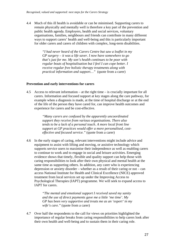4.4 Much of this ill health is avoidable or can be minimised. Supporting carers to remain physically and mentally well is therefore a key part of the prevention and public health agenda. Employers, health and social services, voluntary organisations, families, neighbours and friends can contribute in many different ways to support carers' health and well-being and this is particularly important for older carers and carers of children with complex, long-term disabilities.

> *"I had never heard of the Carers Centre but saw a leaflet in my GP surgery – it was a life saver. I now have somewhere to go that's just for me. My son's health continues to be poor with regular bouts of hospitalisation but I feel I can cope better. I receive regular free holistic therapy treatments along with practical information and support…"* (quote from a carer)

### **Prevention and early interventions for carers**

4.5 Access to relevant information – at the right time – is crucially important for all carers. Information and focused support at key stages along the care pathway, for example when a diagnosis is made, at the time of hospital discharge or at the end of the life of the person they have cared for, can improve health outcomes and experience for carers and be cost-effective.

> *"Many carers are confused by the apparently uncoordinated support they receive from various organisations. There also tends to be a lack of a personal touch. A more local front line support at GP practices would offer a more personalised, costeffective and focused service."* (quote from a carer)

4.6 In the early stages of caring, relevant interventions might include advice and equipment to assist with lifting and moving, or assistive technology which supports service users to maximise their independence as well as enabling carers to continue to work and to engage in social and leisure activities. Emerging evidence shows that timely, flexible and quality support can help those with caring responsibilities to look after their own physical and mental health at the same time as supporting others. In addition, any carer who is experiencing depression or anxiety disorder – whether as a result of their caring or not – can access National Institute for Health and Clinical Excellence (NICE) approved treatment from local services set up under the Improving Access to Psychological Therapies (IAPT) programme. We will seek to expand access to IAPT for carers.

> *"The mental and emotional support I received saved my sanity and the use of direct payments gave me a little 'me time'. My GP has been very supportive and treats me as an 'expert' in my wife's care."* (quote from a carer)

4.7 Over half the respondents to the call for views on priorities highlighted the importance of regular breaks from caring responsibilities to help carers look after their own health and well-being and to sustain them in their caring role.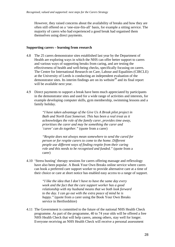However, they raised concerns about the availability of breaks and how they are often still offered on a 'one-size-fits-all' basis, for example a sitting service. The majority of carers who had experienced a good break had organised them themselves using direct payments.

### **Supporting carers – learning from research**

- 4.8 The 25 carers demonstrator sites established last year by the Department of Health are exploring ways in which the NHS can offer better support to carers and various ways of supporting breaks from caring, and are testing the effectiveness of health and well-being checks, specifically focusing on carers. The Centre for International Research on Care, Labour and Equalities (CIRCLE) at the University of Leeds is conducting an independent evaluation of the demonstrator sites. Its interim findings are on its website<sup>38</sup> and its final report will be available next year.
- 4.9 Direct payments to support a break have been much appreciated by participants in the demonstrator sites and used for a wide range of activities and interests, for example developing computer skills, gym membership, swimming lessons and a family holiday.

*"I have taken advantage of the Give Us A Break pilot project in Bath and North East Somerset. This has been a real treat as it acknowledges the role of the family carer, provides time away, prioritises the carer and may be something the carer and 'caree' can do together."* (quote from a carer)

*"Respite does not always mean somewhere to send the cared for person or for respite carers to come to the home. Different people use different ways of finding respite from their caring role and this needs to be recognised and funded."* (quote from a carer)

4.10 'Stress busting' therapy sessions for carers offering massage and reflexology have also been popular. A Book Your Own Breaks online service where carers can book a preferred care support worker to provide alternative care at a time of their choice or care at short notice has enabled easy access to a range of support.

> *"I like the idea that I don't have to have the same day every week and the fact that the care support worker has a good relationship with my husband means that we both look forward to the day. I can go out with the extra peace of mind he is happy."* (quote from a carer using the Book Your Own Breaks service in Hertfordshire)

4.11 The Government is committed to the future of the national NHS Health Check programme. As part of the programme, 40 to 74 year olds will be offered a free NHS Health Check that will help carers, among others, stay well for longer. Everyone receiving an NHS Health Check will receive a personal assessment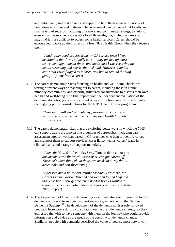and individually tailored advice and support to help them manage their risk of heart disease, stroke and diabetes. The assessment can be carried out locally and in a variety of settings, including pharmacy and community settings, to help to ensure that the service is accessible to all those eligible, including carers who may find it more difficult to access some health services. Carers should be encouraged to take up their offers of a free NHS Health Check when they receive them.

*"I had really good support from my GP service once I kept mentioning that I was a family carer – they opened up more convenient appointment times, and made sure I was receiving the health screening and checks that I should. However, I had to know that I was flagged as a carer, and had to remind the staff – gently*.*"* (quote from a carer)

4.12 The carers demonstrator sites focusing on health and well-being checks are testing different ways of reaching out to carers, including those in ethnic minority communities, and offering structured consultations to discuss their own health and well-being. The final report from the independent evaluation of the demonstrator sites, particularly around accessibility for carers, will be fed into the ongoing policy considerations for the NHS Health Check programme.

> *"Time out to talk and evaluate my position as a carer. The health check gave me confidence in my own health."* (quote from a carer)

4.13 The carers demonstrator sites that are exploring better ways in which the NHS can support carers are also testing a number of approaches, including carer assessment support workers based in GP practices who help to identify carers and signpost them to support services, carer liaison teams, carers' leads in clinical teams and a range of support materials.

> *"I love the* How do I feel today? *and* Time to think about you *documents. Even the word 'assessment' can put carers off. These help them think about their own needs in a way that's acceptable and non-threatening."*

*"After two and a half years getting absolutely nowhere, the Carers Liaison Worker listened and went on to find help and thanks to her, I now get the much needed break I wanted."*  (quotes from carers participating in demonstrator sites on better NHS support)

4.14 The Department of Health is also running a demonstrator site programme for the dementia adviser role and peer support networks, as detailed in the National Dementia Strategy.<sup>39</sup> The development of the dementia adviser role followed feedback from carers during consultation on the draft dementia strategy, as they expressed the wish to have someone with them on the journey who could provide information and advice as the needs of the person with dementia change. Similarly, people with dementia described the value of peer support networks in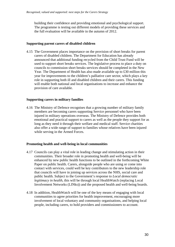building their confidence and providing emotional and psychological support. The programme is testing out different models of providing these services and the full evaluation will be available in the autumn of 2012.

### **Supporting parent carers of disabled children**

4.15 The Government places importance on the provision of short breaks for parent carers of disabled children. The Department for Education has already announced that additional funding recycled from the Child Trust Fund will be used to support short breaks services. The legislative process to place a duty on councils to commission short breaks services should be completed in the New Year. The Department of Health has also made available up to £30 million this year for improvements to the children's palliative care sector, which plays a key role in supporting both ill and disabled children and their carers. This funding will enable both national and local organisations to increase and enhance the provision of care available.

### **Supporting carers in military families**

4.16 The Ministry of Defence recognises that a growing number of military family members are becoming carers supporting Service personnel who have been injured in military operations overseas. The Ministry of Defence provides both emotional and practical support to carers as well as the people they support for as long as they need it through their welfare and medical staff. Service charities also offer a wide range of support to families whose relatives have been injured while serving in the Armed Forces.

### **Promoting health and well-being in local communities**

- 4.17 Councils can play a vital role in leading change and stimulating action in their communities. Their broader role in promoting health and well-being will be enhanced by new public health functions to be outlined in the forthcoming White Paper on public health. Carers, alongside people who are using or come into contact with services, could well be key contributors to the new leadership role that councils will have in joining up services across the NHS, social care and public health. Subject to the Government's response to *Local democratic legitimacy in health*, this will be through local HealthWatch (replacing Local Involvement Networks (LINks)) and the proposed health and well-being boards.
- 4.18 In addition, HealthWatch will be one of the key means of engaging with local communities to agree priorities for health improvement, encouraging more involvement of local voluntary and community organisations, and helping local people, including carers, to hold providers and commissioners to account.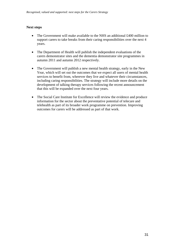### **Next steps**

- The Government will make available to the NHS an additional £400 million to support carers to take breaks from their caring responsibilities over the next 4 years.
- The Department of Health will publish the independent evaluations of the carers demonstrator sites and the dementia demonstrator site programmes in autumn 2011 and autumn 2012 respectively.
- The Government will publish a new mental health strategy, early in the New Year, which will set out the outcomes that we expect all users of mental health services to benefit from, wherever they live and whatever their circumstances, including caring responsibilities. The strategy will include more details on the development of talking therapy services following the recent announcement that this will be expanded over the next four years.
- The Social Care Institute for Excellence will review the evidence and produce information for the sector about the preventative potential of telecare and telehealth as part of its broader work programme on prevention. Improving outcomes for carers will be addressed as part of that work.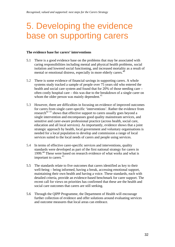### 5. Developing the evidence base on supporting carers

#### **The evidence base for carers' interventions**

- 5.1 There is a good evidence base on the problems that may be associated with caring responsibilities including mental and physical health problems, social isolation and lowered social functioning, and increased mortality as a result of mental or emotional distress, especially in more elderly carers.<sup>40</sup>
- 5.2 There is some evidence of financial savings in supporting carers. A whole systems study tracked a sample of people over 75 years old who entered the health and social care system and found that for 20% of those needing care – often costly hospital care – this was due to the breakdown of a single carer on whom the older person was mainly dependent.<sup>41</sup>
- 5.3 However, there are difficulties in focusing on evidence of improved outcomes for carers from single carer-specific 'interventions'. Rather the evidence from research<sup>42 43</sup> shows that effective support to carers usually goes beyond a single intervention and encompasses good quality mainstream services, and sensitive and carer-aware professional practice (across health, social care, education and all local services). As importantly, evidence shows that a joint strategic approach by health, local government and voluntary organisations is needed for a local population to develop and commission a range of local services suited to the local needs of carers and people using services.
- 5.4 In terms of effective carer-specific services and interventions, quality standards were developed as part of the first national strategy for carers in 1999.<sup>44</sup> These were based on research evidence of what works and what is important to carers.<sup>45</sup>
- 5.5 The standards relate to five outcomes that carers identified as key to their well-being – being informed, having a break, accessing emotional support, maintaining their own health and having a voice. These standards, each with detailed criteria, provide an evidence-based benchmark for carer support. The recent call for views on priorities has confirmed that these are the health and social care outcomes that carers are still seeking.
- 5.6 Through the QIPP Programme, the Department of Health will encourage further collection of evidence and offer solutions around evaluating services and outcome measures that local areas can embrace.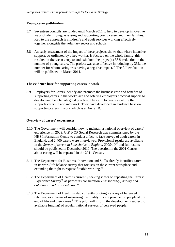### **Young carer pathfinders**

- 5.7 Seventeen councils are funded until March 2011 to help to develop innovative ways of identifying, assessing and supporting young carers and their families. Key to the approach is children's and adult services working effectively together alongside the voluntary sector and schools.
- 5.8 An early assessment of the impact of these projects shows that where intensive support, co-ordinated by a key worker, is focused on the whole family, this resulted in (between entry to and exit from the project) a 35% reduction in the number of young carers. The project was also effective in reducing by 33% the number for whom caring was having a negative impact.<sup>46</sup> The full evaluation will be published in March 2011.

### **The evidence base for supporting carers in work**

5.9 Employers for Carers identify and promote the business case and benefits of supporting carers in the workplace and offering employers practical support to develop and benchmark good practice. They aim to create a culture that supports carers in and into work. They have developed an evidence base on supporting carers in work which is at Annex B.

### **Overview of carers' experiences**

- 5.10 The Government will consider how to maintain a national overview of carers' experience. In 2009, GfK NOP Social Research was commissioned by the NHS Information Centre to conduct a face-to face survey of adult carers in England, and 2,400 carers were interviewed. Provisional results are available in the *Survey of carers in households in England 2009/10*47 and full results should be published in December 2010. The question in the 2001 Census about caring will be repeated in the 2011 Census.
- 5.11 The Department for Business, Innovation and Skills already identifies carers in its work/life balance survey that focuses on the current workplace and extending the right to request flexible working.<sup>48</sup>
- 5.12 The Department of Health is currently seeking views on repeating the Carers' Experience Survey<sup>49</sup> as part of its consultation *Transparency, quality and outcomes in adult social care*. 50
- 5.13 The Department of Health is also currently piloting a survey of bereaved relatives, as a means of measuring the quality of care provided to people at the end of life and their carers.<sup>51</sup> The pilot will inform the development (subject to available funding) of regular national surveys of bereaved people.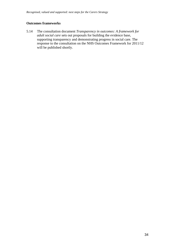### **Outcomes frameworks**

5.14 The consultation document *Transparency in outcomes: A framework for adult social care* sets out proposals for building the evidence base, supporting transparency and demonstrating progress in social care. The response to the consultation on the NHS Outcomes Framework for 2011/12 will be published shortly.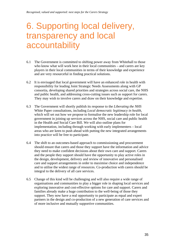### 6. Supporting local delivery, transparency and local accountability

- 6.1 The Government is committed to shifting power away from Whitehall to those who know what will work best in their local communities – and carers are key players in their local communities in terms of their knowledge and experience and are very resourceful in finding practical solutions.
- 6.2 It is envisaged that local government will have an enhanced role in health with responsibility for leading Joint Strategic Needs Assessments along with GP consortia, developing shared priorities and strategies across social care, the NHS and public health, and addressing cross-cutting issues such as support for carers. They may wish to involve carers and draw on their knowledge and expertise.
- 6.3 The Government will shortly publish its response to the *Liberating the NHS*  White Paper consultations, including *Local democratic legitimacy in health*, which will set out how we propose to formalise the new leadership role for local government in joining up services across the NHS, social care and public health in the Health and Social Care Bill. We will also outline plans for implementation, including through working with early implementers – local areas who are keen to push ahead with putting the new integrated arrangements into practice will be free to participate.
- 6.4 The shift to an outcomes-based approach to commissioning and procurement should ensure that carers and those they support have the information and advice they need to make confident decisions about their own care and support. Carers and the people they support should have the opportunity to play active roles in the design, development, delivery and review of innovative and personalised care and support arrangements in order to maximise choice and independence and to utilise the widest range of resources. Co-production with carers should be integral to the delivery of all care services.
- 6.5 Change of this kind will be challenging and will also require a wide range of organisations and communities to play a bigger role in shaping local services and exploring innovative and cost-effective options for care and support. Carers and families already make a huge contribution to the well-being of those they support. They now have a real opportunity to participate as equal and expert partners in the design and co-production of a new generation of care services and of more inclusive and mutually supportive communities.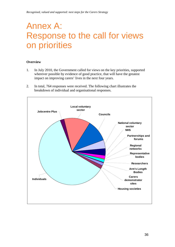### Annex A: Response to the call for views on priorities

### **Overview**

- 1. In July 2010, the Government called for views on the key priorities, supported wherever possible by evidence of good practice, that will have the greatest impact on improving carers' lives in the next four years.
- 2. In total, 764 responses were received. The following chart illustrates the breakdown of individual and organisational responses.

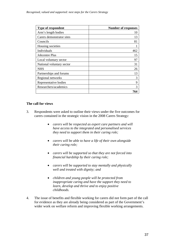| <b>Type of respondent</b> | <b>Number of responses</b> |
|---------------------------|----------------------------|
| Arm's length bodies       | 10                         |
| Carers demonstrator sites | 13                         |
| Councils                  | 81                         |
| Housing societies         |                            |
| Individuals               | 462                        |
| Jobcentre Plus            | 15                         |
| Local voluntary sector    | 97                         |
| National voluntary sector | 31                         |
| <b>NHS</b>                | 26                         |
| Partnerships and forums   | 13                         |
| Regional networks         | 3                          |
| Representative bodies     | 9                          |
| Researchers/academics     | 3                          |
|                           | 764                        |

### **The call for views**

- 3. Respondents were asked to outline their views under the five outcomes for carers contained in the strategic vision in the 2008 Carers Strategy:
	- • *carers will be respected as expert care partners and will have access to the integrated and personalised services they need to support them in their caring role;*
	- • *carers will be able to have a life of their own alongside their caring role;*
	- • *carers will be supported so that they are not forced into financial hardship by their caring role;*
	- • *carers will be supported to stay mentally and physically well and treated with dignity; and*
	- • *children and young people will be protected from inappropriate caring and have the support they need to learn, develop and thrive and to enjoy positive childhoods.*
- 4. The issue of benefits and flexible working for carers did not form part of the call for evidence as they are already being considered as part of the Government's wider work on welfare reform and improving flexible working arrangements.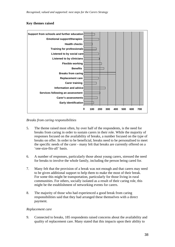### **Key themes raised**



*Breaks from caring responsibilities* 

- 5. The theme raised most often, by over half of the respondents, is the need for breaks from caring in order to sustain carers in their role. While the majority of responses focused on the availability of breaks, a number focused on the type of breaks on offer. In order to be beneficial, breaks need to be personalised to meet the specific needs of the carer - many felt that breaks are currently offered on a 'one-size-fits-all' basis.
- 6. A number of responses, particularly those about young carers, stressed the need for breaks to involve the whole family, including the person being cared for.
- 7. Many felt that the provision of a break was not enough and that carers may need to be given additional support to help them to make the most of their break. For some this might be transportation, particularly for those living in rural communities. For others, socially isolated as a result of their caring role, this might be the establishment of networking events for carers.
- 8. The majority of those who had experienced a good break from caring responsibilities said that they had arranged these themselves with a direct payment.

### *Replacement care*

9. Connected to breaks, 185 respondents raised concerns about the availability and quality of replacement care. Many stated that this impacts upon their ability to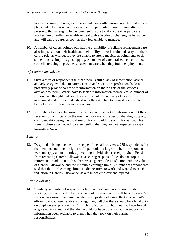have a meaningful break, as replacement carers often turned up late, if at all, and plans had to be rearranged or cancelled. In particular, those looking after a person with challenging behaviours feel unable to take a break as paid care workers are unwilling or unable to deal with episodes of challenging behaviour and will call the carer as soon as they feel unable to manage.

10. A number of carers pointed out that the availability of reliable replacement care also impacts upon their health and their ability to work, train and carry out their caring role, as without it they are unable to attend medical appointments or do something as simple as go shopping. A number of carers raised concerns about councils refusing to provide replacement care when they found employment.

### *Information and advice*

- 11. Over a third of respondents felt that there is still a lack of information, advice and advocacy available to carers. Health and social care professionals do not proactively provide carers with information on their rights or the services available to them – carers have to seek out information themselves. A number of respondents thought that social services should proactively offer a carer's assessment and did not understand why they still had to request one despite being known to social services as a carer.
- 12. A number of carers also raised concerns about the lack of information that they receive from clinicians on the treatment or care of the person that they support, confidentiality being the usual reason for withholding such information. This issue is closely connected to carers feeling that they are not respected as expert partners in care.

### *Benefits*

13. Despite this being outside of the scope of the call for views, 255 respondents felt that benefits could not be ignored. In particular, a large number of respondents were unhappy about the rules preventing individuals in receipt of State Pension from receiving Carer's Allowance, as caring responsibilities do not stop at retirement. In addition to this, there was a general dissatisfaction with the value of Carer's Allowance and the inflexible earnings limit. A number of respondents said that the £100 earnings limit is a disincentive to work and wanted to see the reduction in Carer's Allowance, as a result of employment, tapered.

### *Flexible working*

14. Similarly, a number of respondents felt that they could not ignore flexible working, despite this also being outside of the scope of the call for views – 225 respondents raised this issue. While the majority welcomed the Government's efforts to encourage flexible working, many felt that there should be a legal duty on employers to provide this. A number of carers felt that they had been forced to give up work and said that they would not have done so had the support and information been available to them when they took on their caring responsibilities.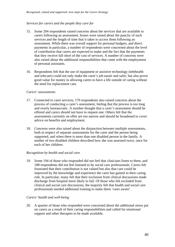### *Services for carers and the people they care for*

- 15. Some 204 respondents raised concerns about the services that are available to carers following an assessment. Issues were raised about the paucity of such services and the length of time that it takes to access them following an assessment. While there was overall support for personal budgets, and direct payments in particular, a number of respondents were concerned about the level of contribution that carers are expected to make and the fact that the payments that they receive fall short of the cost of services. A number of concerns were also raised about the additional responsibilities that come with the employment of personal assistants.
- 16. Respondents felt that the use of equipment or assistive technology (telehealth and telecare) could not only make the carer's job easier and safer, but also prove good value for money in allowing carers to have a life outside of caring without the need for replacement care.

### *Carers' assessments*

- 17. Connected to carer services, 170 respondents also raised concerns about the process of conducting a carer's assessment, feeling that the process is too long and overly bureaucratic. A number thought that a carer's assessment should be offered and carers should not have to request one. Others felt that the assessments currently on offer are too narrow and should be broadened to cover advice on benefits and employment.
- 18. Concerns were also raised about the disjunction between multiple assessments, both in respect of separate assessments for the carer and the person being supported, and when there is more than one disabled person in the family. A mother of two disabled children described how she was assessed twice, once for each of her children.

### *Recognition by health and social care*

19. Some 194 of those who responded did not feel that clinicians listen to them, and 188 respondents did not feel listened to by social care professionals. Carers felt frustrated that their contribution is not valued but also that care could be improved by the knowledge and experience the carer has gained in their caring role. In particular, many felt that their exclusion from clinical discussions made discharge from hospital more likely to fail. Of those who felt excluded from clinical and social care discussions, the majority felt that health and social care professionals needed additional training to make them 'carer aware'.

### *Carers' health and well-being*

20. A quarter of those who responded were concerned about the additional stress put on carers as a result of their caring responsibilities and called for emotional support and other therapies to be made available.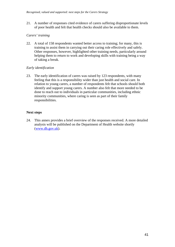21. A number of responses cited evidence of carers suffering disproportionate levels of poor health and felt that health checks should also be available to them.

### *Carers' training*

22. A total of 158 respondents wanted better access to training; for many, this is training to assist them in carrying out their caring role effectively and safely. Other responses, however, highlighted other training needs, particularly around helping them to return to work and developing skills with training being a way of taking a break.

### *Early identification*

23. The early identification of carers was raised by 123 respondents, with many feeling that this is a responsibility wider than just health and social care. In relation to young carers, a number of respondents felt that schools should both identify and support young carers. A number also felt that more needed to be done to reach out to individuals in particular communities, including ethnic minority communities, where caring is seen as part of their family responsibilities.

### **Next steps**

24. This annex provides a brief overview of the responses received. A more detailed analysis will be published on the Department of Health website shortly ([www.dh.gov.uk\).](http://www.dh.gov.uk)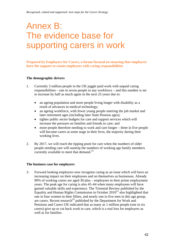### Annex B: The evidence base for supporting carers in work

### **Prepared by Employers for Carers, a forum focused on ensuring that employers have the support to retain employees with caring responsibilities**

### **The demographic drivers**

- 1. Currently 3 million people in the UK juggle paid work with unpaid caring responsibilities – one in seven people in any workforce – and this number is set to increase by half as much again in the next 25 years due to:
	- an ageing population and more people living longer with disability as a result of advances in medical technology;
	- an ageing workforce, with fewer young people entering the job market and later retirement ages (including later State Pension ages);
	- tighter public sector budgets for care and support services which will increase the pressure on families and friends to care; and
	- more people therefore needing to work and care longer three in five people will become carers at some stage in their lives, the majority during their working lives.
- 2. By 2017, we will reach the tipping point for care when the numbers of older people needing care will outstrip the numbers of working age family members currently available to meet that demand. $52$

### **The business case for employers**

3. Forward looking employers now recognise caring as an issue which will have an increasing impact on their employees and on themselves as businesses. Already 90% of working carers are aged 30 plus – employees in their prime employment years. The peak age for caring is also 45–64 when many employees will have gained valuable skills and experience. The Triennial Review published by the Equality and Human Rights Commission in October  $2010^{53}$  also highlighted that one in four women in their fifties, and nearly one in five men in this age group, are carers. Recent research<sup>54</sup> published by the Department for Work and Pensions and Carers UK indicated that as many as 1 million people (one in six carers) give up or cut back work to care, which is a real loss for employers as well as for families.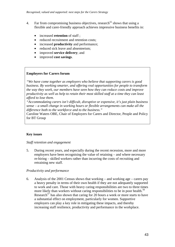- 4. Far from compromising business objectives, research<sup>55</sup> shows that using a flexible and carer-friendly approach achieves impressive business benefits in:
	- increased **retention** of staff :
	- reduced recruitment and retention costs;
	- increased **productivity** and performance;
	- reduced sick leave and absenteeism;
	- improved **service delivery**; and
	- improved **cost savings**.

### **Employers for Carers forum**

*"We have come together as employers who believe that supporting carers is good business. By working smarter, and offering real opportunities for people to transform the way they work, our members have seen how they can reduce costs and improve productivity as well as help to retain their most skilled staff at a time they can least afford to lose them.* 

*"Accommodating carers isn't difficult, disruptive or expensive, it's just plain business sense – a small change in working hours or flexible arrangements can make all the difference both to the workforce and to the business."* 

Caroline Waters OBE, Chair of Employers for Carers and Director, People and Policy for BT Group

### **Key issues**

### *Staff retention and engagement*

5. During recent years, and especially during the recent recession, more and more employers have been recognising the value of retaining – and where necessary re-hiring – skilled workers rather than incurring the costs of recruiting and retraining new staff.

### *Productivity and performance*

6. Analysis of the 2001 Census shows that working – and working age – carers pay a heavy penalty in terms of their own health if they are not adequately supported to work and care. Those with heavy caring responsibilities are two to three times more likely than workers without caring responsibilities to be in poor health.<sup>56</sup> Research<sup>57</sup> has also shown that caring for 20 hours a week or more starts to have a substantial effect on employment, particularly for women. Supportive employers can play a key role in mitigating these impacts, and thereby increasing staff resilience, productivity and performance in the workplace.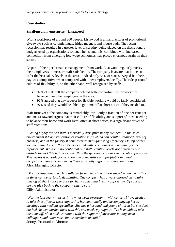### **Case studies**

### **Small/medium enterprise – Listawood**

With a workforce of around 200 people, Listawood is a manufacturer of promotional giveaways such as ceramic mugs, fridge magnets and mouse pads. The recent recession has resulted in a greater level of scrutiny being placed on the discretionary budgets used by organisations for such items, and this, combined with increased competition from emerging low wage economies, has placed enormous strain on their sector.

As part of their performance management framework, Listawood regularly survey their employees to measure staff satisfaction. The company is aware that it does not offer the best salary levels in the area – indeed only 56% of staff surveyed felt their pay was competitive when compared with other employers locally. Their deep-rooted culture of flexibility is, on the other hand, well recognised by staff:

- 97% of staff felt the company offered better opportunities for work/life balance than other employers in the area.
- 96% agreed that any request for flexible working would be fairly considered.
- 97% said they would be able to get time off at short notice if they needed to.

Staff turnover at the company is remarkably low – only a fraction of one per cent per annum. Listawood argues that their culture of flexibility and support of those needing to balance their home and work lives, often at short notice, is a significant driver of staff retention:

*"Losing highly trained staff is incredibly disruptive in any business. In the sales environment it fractures customer relationships which can result in reduced levels of business, and in the factory it compromises manufacturing efficiency. On top of this, you then have to bear the costs associated with recruitment and training for their replacement. We are in no doubt that our staff retention levels are driven by our attitude to work/life balance rather than the generosity of our remuneration packages. This makes it possible for us to remain competitive and profitable in a highly competitive market, even during these unusually difficult trading conditions."*  Alex, Managing Director

*"My grown-up daughter has suffered from a heart condition since her late teens that at times can be seriously debilitating. The company has always allowed me to take time off at short notice to care for her – something I really appreciate. Of course I always give back to the company when I can."*  Gilly, Administrator

*"For the last year my sister-in-law has been seriously ill with cancer. I have needed to take time off each week supporting her emotionally and accompanying her to meetings with medical specialists. She has a husband and young children but she does not feel she can burden them with this and needs my support. I've been able to take this time off, often at short notice, with the support of my senior management colleagues and other more junior members of staff."*  Jenny, Production Director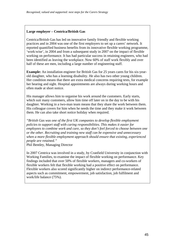### **Large employer – Centrica/British Gas**

Centrica/British Gas has led on innovative family friendly and flexible working practices and in 2004 was one of the first employers to set up a carers' network. It reported quantified business benefits from its innovative flexible working programme, 'work:wise', in 2004 and from a subsequent study in 2007 on the impact of flexible working on performance. It has had particular success in retaining engineers, who had been identified as leaving the workplace. Now 60% of staff work flexibly and over half of these are men, including a large number of engineering staff.

**Example:** An installation engineer for British Gas for 25 years cares for his six-yearold daughter, who has a learning disabulity. He also has two other young children. Her condition means that there are extra medical concerns requiring tests, for example her hearing and sight. Hospital appointments are always during working hours and often made at short notice.

His manager allows him to organise his work around the customers. Early starts, which suit many customers, allow him time off later on in the day to be with his daughter. Working in a two-man team means that they share the work between them. His colleague covers for him when he needs the time and they make it work between them. He can also take short notice holiday when required.

*"British Gas was one of the first UK companies to develop flexible employment policies to support staff with caring responsibilities. This makes it easier for employees to combine work and care, so they don't feel forced to choose between one or the other. Recruiting and training new staff can be expensive and unnecessary when a more flexible employment approach should ensure that existing, experienced people are retained."* 

Phil Bentley, Managing Director

In 2007 Centrica was involved in a study, by Cranfield University in conjunction with Working Families, to examine the impact of flexible working on performance. Key findings included that over 50% of flexible workers, managers and co-workers of flexible workers felt that flexible working had a positive effect on performance. Flexible workers also scored significantly higher on indirect performance-related aspects such as commitment, empowerment, job satisfaction, job fulfilment and work/life balance (75%).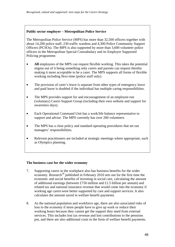### **Public sector employer – Metropolitan Police Service**

The Metropolitan Police Service (MPS) has more than 32,500 officers together with about 14,200 police staff, 230 traffic wardens and 4,300 Police Community Support Officers (PCSOs). The MPS is also supported by more than 3,600 volunteer police officers in the Metropolitan Special Constabulary and its Employer Supported Policing programme.

- **All** employees of the MPS can request flexible working. This takes the potential stigma out of it being something only carers and parents can request thereby making it more acceptable to be a carer. The MPS supports all forms of flexible working including flexi-time (police staff only).
- The provision of carer's leave is separate from other types of emergency leave and paid leave is doubled if the individual has multiple caring responsibilities.
- The MPS provides support for and encouragement of an employee-run (voluntary) Carers Support Group (including their own website and support for awareness days).
- Each Operational Command Unit has a work/life balance representative to support and advise. The MPS currently has over 200 volunteers.
- The MPS has a clear policy and standard operating procedures that set out managers' responsibilities.
- Relevent practitioners are included at strategic meetings where appropriate, such as Olympics planning.

### **The business case for the wider economy**

- 7. Supporting carers in the workplace also has business benefits for the wider economy. Research<sup>58</sup> published in February 2010 sets out for the first time the economic and social benefits of investing in social care, calculating the amount of additional earnings (between £750 million and £1.5 billion per annum) and related tax and national insurance revenue that would come into the economy if working age carers were better supported by care and support services. It also calculates the amount saved in welfare benefit payments.
- 8. As the national population and workforce age, there are also associated risks of loss to the economy if more people have to give up work or reduce their working hours because they cannot get the support they need from external services. This includes lost tax revenue and lost contributions to the pensions pot, and there are also additional costs in the form of welfare benefit payments.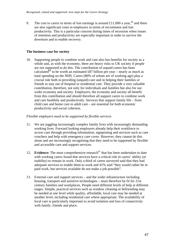9. The cost to carers in terms of lost earnings is around £11,000 a year,<sup>59</sup> and there are also significant costs to employers in terms of recruitment and lost productivity. This is a particular concern during times of recession when issues of retention and productivity are especially important in order to survive the downturn and to enable recovery.

### **The business case for society**

10. Supporting people to combine work and care also has benefits for society as a whole and, as with the economy, there are heavy risks to UK society if people are not supported to do this. The contribution of unpaid carers has been calculated<sup>60</sup> to be worth an estimated £87 billion per year – nearly as much as total spending on the NHS. Carers (80% of whom are of working age) play a crucial role both in providing (unpaid) care and in helping their families or friends to stay out of hospital or residential care. They provide a very valuable contribution, therefore, not only for individuals and families but also for our wider economy and society. Employers, the economy and society all benefit from this contribution and should therefore all support carers to combine work and care healthily and productively. Services that support family life – from child care and home care to adult care – are essential for both economic productivity and social cohesion.

### *Flexible employers need to be supported by flexible services*

- 11. We are juggling increasingly complex family lives with increasingly demanding working lives. Forward looking employers already help their workforce to access care through providing information, signposting and services such as care vouchers and help with emergency care cover. However, they cannot do this alone and are increasingly recognising that they need to be supported by flexible and accessible care and support services.
- 12. **Evidence:** The most comprehensive research<sup>61</sup> that has been undertaken to date with working carers found that services have a critical role in carers' ability (or inability) to remain in work. Only a third of carers surveyed said that they had adequate services to enable them to work and 41% said "they would rather be in paid work, but services available do not make a job possible".
- 13. External care and support services and the wider infrastructure including housing, transport and assistive technologies – must therefore be fit for 21st century families and workplaces. People need different levels of help at different stages. Simple, practical services such as window cleaning or befriending may be needed at one level while quality, affordable, local care may be needed at another level, including residential care where appropriate. The availability of local care is particularly important to avoid isolation and loss of connectivity with family, friends and place.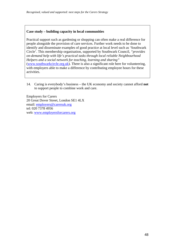### **Case study – building capacity in local communities**

Practical support such as gardening or shopping can often make a real difference for people alongside the provision of care services. Further work needs to be done to identify and disseminate examples of good practice at local level such as 'Southwark Circle'. This membership organisation, supported by Southwark Council, *"provides on-demand help with life's practical tasks through local reliable Neighbourhood Helpers and a social network for teaching, learning and sharing"*  ([www.southwarkcircle.org.uk\). Th](http://www.southwarkcircle.org.uk)ere is also a significant role here for volunteering, with employers able to make a difference by contributing employee hours for these activities.

14. Caring is everybody's business – the UK economy and society cannot afford **not** to support people to combine work and care.

Employers for Carers 20 Great Dover Street, London SE1 4LX email: [employers@carersuk.org](mailto:employers@carersuk.org)  tel: 020 7378 4956 web: [www.employersforcarers.org](http://www.employersforcarers.org)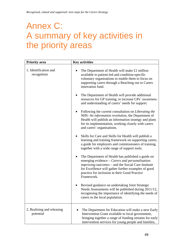### Annex C: A summary of key activities in the priority areas

| <b>Priority</b> area                    | <b>Key activities</b>                                                                                                                                                                                                                                                                   |
|-----------------------------------------|-----------------------------------------------------------------------------------------------------------------------------------------------------------------------------------------------------------------------------------------------------------------------------------------|
| 1. Identification and<br>recognition    | The Department of Health will make £1 million<br>available to patient-led and condition-specific<br>voluntary organisations to enable them to focus on<br>supporting carers through a Reaching out to Carers<br>innovation fund.                                                        |
|                                         | The Department of Health will provide additional<br>resources for GP training, to increase GPs' awareness<br>and understanding of carers' needs for support.                                                                                                                            |
|                                         | Following the current consultation on <i>Liberating the</i><br>NHS: An information revolution, the Department of<br>Health will publish an information strategy and plans<br>for its implementation, working closely with carers<br>and carers' organisations.                          |
|                                         | Skills for Care and Skills for Health will publish a<br>learning and training framework on supporting carers,<br>a guide for employers and commissioners of training,<br>together with a wide range of support tools.                                                                   |
|                                         | The Department of Health has published a guide on<br>emerging evidence – Carers and personalisation:<br><i>improving outcomes</i> – and the Social Care Institute<br>for Excellence will gather further examples of good<br>practice for inclusion in their Good Practice<br>Framework. |
|                                         | Revised guidance on undertaking Joint Strategic<br>Needs Assessments will be published during 2011/12,<br>recognising the importance of identifying the needs of<br>carers in the local population.                                                                                     |
| 2. Realising and releasing<br>potential | The Department for Education will make a new Early<br>Intervention Grant available to local government,<br>bringing together a range of funding streams for early<br>intervention services for young people and families,                                                               |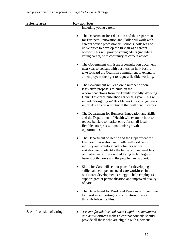| <b>Priority</b> area        | <b>Key activities</b>                                                                                                                                                                                                                                                                                                                    |
|-----------------------------|------------------------------------------------------------------------------------------------------------------------------------------------------------------------------------------------------------------------------------------------------------------------------------------------------------------------------------------|
|                             | including young carers.                                                                                                                                                                                                                                                                                                                  |
|                             | The Department for Education and the Department<br>$\bullet$<br>for Business, Innovation and Skills will work with<br>careers advice professionals, schools, colleges and<br>universities to develop the first all-age careers<br>service. This will provide young adults (including<br>young carers) with continuity of careers advice. |
|                             | The Government will issue a consultation document<br>$\bullet$<br>next year to consult with business on how best to<br>take forward the Coalition commitment to extend to<br>all employees the right to request flexible working.                                                                                                        |
|                             | The Government will explore a number of non-<br>$\bullet$<br>legislative proposals to build on the<br>recommendations from the Family Friendly Working<br>Hours Taskforce published earlier this year. This will<br>include 'designing in' flexible working arrangements<br>in job design and recruitment that will benefit carers.      |
|                             | The Department for Business, Innovation and Skills<br>$\bullet$<br>and the Department of Health will examine how to<br>reduce barriers to market entry for small local<br>flexible enterprises, to maximise growth<br>opportunities.                                                                                                     |
|                             | The Department of Health and the Department for<br>$\bullet$<br>Business, Innovation and Skills will work with<br>industry and statutory and voluntary sector<br>stakeholders to identify the barriers to and enablers<br>of market growth in assisted living technologies to<br>benefit both carers and the people they support.        |
|                             | Skills for Care will set out plans for developing a<br>skilled and competent social care workforce in a<br>workforce development strategy to help employers<br>support greater personalisation and improved quality<br>of care.                                                                                                          |
|                             | The Department for Work and Pensions will continue<br>to invest in supporting carers to return to work<br>through Jobcentre Plus.                                                                                                                                                                                                        |
| 3. A life outside of caring | A vision for adult social care: Capable communities<br>and active citizens makes clear that councils should<br>provide all those who are eligible with a personal                                                                                                                                                                        |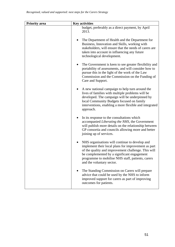| <b>Priority</b> area | <b>Key activities</b>                                                                                                                                                                                                                                                                         |
|----------------------|-----------------------------------------------------------------------------------------------------------------------------------------------------------------------------------------------------------------------------------------------------------------------------------------------|
|                      | budget, preferably as a direct payment, by April<br>2013.                                                                                                                                                                                                                                     |
|                      | The Department of Health and the Department for<br>Business, Innovation and Skills, working with<br>stakeholders, will ensure that the needs of carers are<br>taken into account in influencing any future<br>technological development.                                                      |
|                      | The Government is keen to see greater flexibility and<br>portability of assessments, and will consider how to<br>pursue this in the light of the work of the Law<br>Commission and the Commission on the Funding of<br>Care and Support.                                                      |
|                      | A new national campaign to help turn around the<br>$\bullet$<br>lives of families with multiple problems will be<br>developed. The campaign will be underpinned by<br>local Community Budgets focused on family<br>interventions, enabling a more flexible and integrated<br>approach.        |
|                      | In its response to the consultations which<br>$\bullet$<br>accompanied Liberating the NHS, the Government<br>will publish more details on the relationship between<br>GP consortia and councils allowing more and better<br>joining up of services.                                           |
|                      | NHS organisations will continue to develop and<br>implement their local plans for improvement as part<br>of the quality and improvement challenge. This will<br>be complemented by a significant engagement<br>programme to mobilise NHS staff, patients, carers<br>and the voluntary sector. |
|                      | The Standing Commission on Carers will prepare<br>advice that could be used by the NHS to inform<br>improved support for carers as part of improving<br>outcomes for patients.                                                                                                                |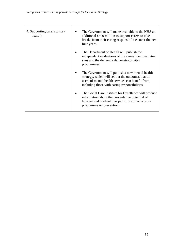| 4. Supporting carers to stay<br>healthy | The Government will make available to the NHS an<br>additional £400 million to support carers to take<br>breaks from their caring responsibilities over the next<br>four years.                             |
|-----------------------------------------|-------------------------------------------------------------------------------------------------------------------------------------------------------------------------------------------------------------|
|                                         | The Department of Health will publish the<br>$\bullet$<br>independent evaluations of the carers' demonstrator<br>sites and the dementia demonstrator sites<br>programmes.                                   |
|                                         | The Government will publish a new mental health<br>strategy, which will set out the outcomes that all<br>users of mental health services can benefit from,<br>including those with caring responsibilities. |
|                                         | The Social Care Institute for Excellence will produce<br>information about the preventative potential of<br>telecare and telehealth as part of its broader work<br>programme on prevention.                 |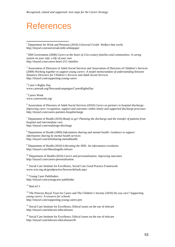### References

1 Department for Work and Pensions (2010) *Universal Credit: Welfare that works*  <http://tinyurl.com/universalcredit-whitepaper>

2 HM Government (2008) *Carers at the heart of 21st-century families and communities: A caring system on your side, a life of your own*  <http://tinyurl.com/carers-heart-21C-families>

<sup>3</sup> Association of Directors of Adult Social Services and Association of Directors of Children's Services (2009) *Working together to support young carers: A model memorandum of understanding between Statutory Directors for Children's Services and Adult Social Services*  <http://tinyurl.com/supporting-young-carers>

4 Carer's Rights Day [www.carersuk.org/Newsandcampaigns/CarersRightsDay](http://www.carersuk.org/Newsandcampaigns/CarersRightsDay) 

5 Carers Week [www.carersweek.org/](http://www.carersweek.org/) 

6 Association of Directors of Adult Social Services (2010) *Carers as partners in hospital discharge: Improving carer recognition, support and outcomes within timely and supported discharge processes*  <http://tinyurl.com/carers-partners-hospdischarge>

7 Department of Health (2010) *Ready to go? Planning the discharge and the transfer of patients from hospital and intermediate care*  <http://tinyurl.com/readytogo-discharge>

8 Department of Health (2009) *Information sharing and mental health: Guidance to support information sharing by mental health services*  <http://tinyurl.com/infosharing-mentalhealth>

9 Department of Health (2010) *Liberating the NHS: An information revolution*  <http://tinyurl.com/liberatingnhs-inforev>

10 Department of Health (2010) *Carers and personalisation: improving outcomes*  <http://tinyurl.com/carers-personalisation>

<sup>11</sup> Social Care Institute for Excellence, Social Care Good Practice Framework [www.scie.org.uk/goodpractice/browse/default.aspx](http://www.scie.org.uk/goodpractice/browse/default.aspx) 

<sup>12</sup> Young Carer Pathfinders <http://tinyurl.com/youngcarer-pathfinder>

 $13$  Ibid ref 3

<sup>14</sup> The Princess Royal Trust for Carers and The Children's Society (2010) *Do you care? Supporting young carers: A resource for schools*  <http://tinyurl.com/supporting-young-carers-prtc>

<sup>15</sup> Social Care Institute for Excellence, Ethical issues on the use of telecare <http://tinyurl.com/telecare-ethicalissues>

<sup>16</sup> Social Care Institute for Excellence, Ethical issues on the use of telecare <http://tinyurl.com/telecare-ethicalissues30>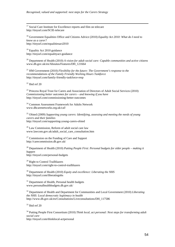<sup>17</sup> Social Care Institute for Excellence reports and film on telecare <http://tinyurl.com/SCIE-telecare>

18 Government Equalities Office and Citizens Advice (2010) *Equality Act 2010: What do I need to know as a carer?*  <http://tinyurl.com/equalitiesact2010>

<sup>19</sup> Equality Act 2010 guidance <http://tinyurl.com/equalityact-guidance>

20 Department of Health (2010) *A vision for adult social care: Capable communities and active citizens*  [www.dh.gov.uk/en/Aboutus/Features/DH\\_121664](http://www.dh.gov.uk/en/Aboutus/Features/DH_121664) 

21 HM Government (2010) *Flexibility for the future: The Government's response to the recommendations of the Family Friendly Working Hours Taskforce*  <http://tinyurl.com/family-friendly-taskforce-resp>

 $22$  Ibid ref 20

<sup>23</sup> Princess Royal Trust for Carers and Association of Directors of Adult Social Services (2010) *Commissioning better outcomes for carers – and knowing if you have*  <http://tinyurl.com/commissioning-better-outcomes>

24 Common Assessment Framework for Adults Network [www.dhcarenetworks.org.uk/caf/](http://www.dhcarenetworks.org.uk/caf/) 

25 Ofsted (2009) *Supporting young carers: Identifying, assessing and meeting the needs of young carers and their families*  <http://tinyurl.com/supporting-young-carers-ofsted>

26 Law Commission, Reform of adult social care law [www.lawcom.gov.uk/adult\\_social\\_care\\_consultation.htm](http://www.lawcom.gov.uk/adult_social_care_consultation.htm) 

 $27$  Commission on the Funding of Care and Support <http://carecommission.dh.gov.uk/>

28 Department of Health (2010) *Putting People First: Personal budgets for older people – making it happen*  <http://tinyurl.com/personal-budgets>

<sup>29</sup> Right to Control Trailblazers <http://tinyurl.com/right-to-control-trailblazers>

30 Department of Health (2010) *Equity and excellence: Liberating the NHS*  <http://tinyurl.com/liberatingnhs>

<sup>31</sup> Department of Health, Personal health budgets [www.personalhealthbudgets.dh.gov.uk/](http://www.personalhealthbudgets.dh.gov.uk/) 

32 Department of Health and Department for Communities and Local Government (2010) *Liberating the NHS: Local democratic legitimacy in health*  [http://www.dh.gov.uk/en/Consultations/Liveconsultations/DH\\_117586](http://www.dh.gov.uk/en/Consultations/Liveconsultations/DH_117586) 

 $33$  Ibid ref 20

34 Putting People First Consortium (2010) *Think local, act personal: Next steps for transforming adult social care*  <http://tinyurl.com/thinklocal-actpersonal>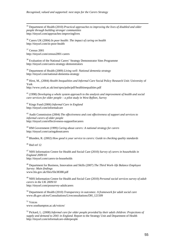35 Department of Health (2010) *Practical approaches to improving the lives of disabled and older people through building stronger communities*  <http://tinyurl.com/approaches-improvinglives>

36 Carers UK (2004) *In poor health: The impact of caring on health*  <http://tinyurl.com/in-poor-health>

37 Census 2001 <http://tinyurl.com/census2001-carers>

<sup>38</sup> Evaluation of the National Carers' Strategy Demonstrator Sites Programme <http://tinyurl.com/carers-strategy-demonstrators>

39 Department of Health (2009) *Living well: National dementia strategy*  <http://tinyurl.com/national-dementia-strategy>

40 Hirst, M., (2004) *Health Inequalities and Informal Care* Social Policy Research Unit: University of York <http://www.york.ac.uk/inst/spru/pubs/pdf/healthinequalities.pdf>

41 (1998) *Developing a whole system approach to the analysis and improvement of health and social care services for older people – a pilot study in West Byfleet, Surrey* 

42 Kings Fund (2006) *Informal Care in England*  <http://tinyurl.com/informalcare>

43 Audit Commission (2004) *The effectiveness and cost effectiveness of support and services to informal carers of older people*  <http://tinyurl.com/effectiveness-supportforcarers>

44 HM Government (1999) *Caring about carers: A national strategy for carers*  <http://tinyurl.com/caringaboutcarers>

45 Blunden, R. (2002) *How good is your service to carers: Guide to checking quality standards* 

46 Ibid ref 12

47 NHS Information Centre for Health and Social Care (2010) *Survey of carers in households in England 2009/10*  <http://tinyurl.com/carers-in-households>

48 Department for Business, Innovation and Skills (2007) *The Third Work–life Balance Employee Survey: Main findings*  [www.bis.gov.uk/files/file38388.pdf](http://www.bis.gov.uk/files/file38388.pdf) 

49 NHS Information Centre for Health and Social Care (2010) *Personal social services survey of adult carers in the UK 2009/10*  <http://tinyurl.com/psssurvey-adultcarers>

50 Department of Health (2010) *Transparency in outcomes: A framework for adult social care*  [www.dh.gov.uk/en/Consultations/Liveconsultations/DH\\_121509](http://www.dh.gov.uk/en/Consultations/Liveconsultations/DH_121509) 

51 Voices [www.southampton.ac.uk/voices/](http://www.southampton.ac.uk/voices/) 

52 Pickard, L. (2008) *Informal care for older people provided by their adult children: Projections of supply and demand to 2041 in England.* Report to the Strategy Unit and Department of Health <http://tinyurl.com/informalcare-olderpeople>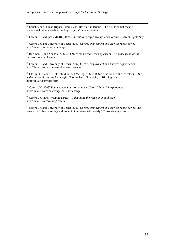<sup>53</sup> Equality and Human Rights Commission, How fair in Britain? The first triennial review [www.equalityhumanrights.com/key-projects/triennial-review/](http://www.equalityhumanrights.com/key-projects/triennial-review/) 

54 Carers UK and Ipsos MORI (2009) *One million people give up work to care – Carers Rights Day* 

55 Carers UK and University of Leeds (2007) *Carers, employment and services report series*  <http://tinyurl.com/more-than-a-job>

56 Buckner, L. and Yeandle, S. (2006) *More than a job: Working carers* – *Evidence from the 2001 Census.* London: Carers UK

57 Carers UK and University of Leeds (2007) *Carers, employment and services report series*  <http://tinyurl.com/carers-employment-services>

58 Glasby, J., Ham, C., Littlechild, R. and McKay, S. (2010) *The case for social care reform – The wider economic and social benefits*. Birmingham: University of Birmingham <http://tinyurl.com/screform>

59 Carers UK (2008) *Real change, not short change: Carers' financial experiences*  <http://tinyurl.com/realchange-not-shortchange>

60 Carers UK (2007) *Valuing carers – Calculating the value of unpaid care*  <http://tinyurl.com/valuing-carers>

61 Carers UK and University of Leeds (2007) *Carers, employment and services report series*. The research involved a survey and in-depth interviews with nearly 900 working age carers.